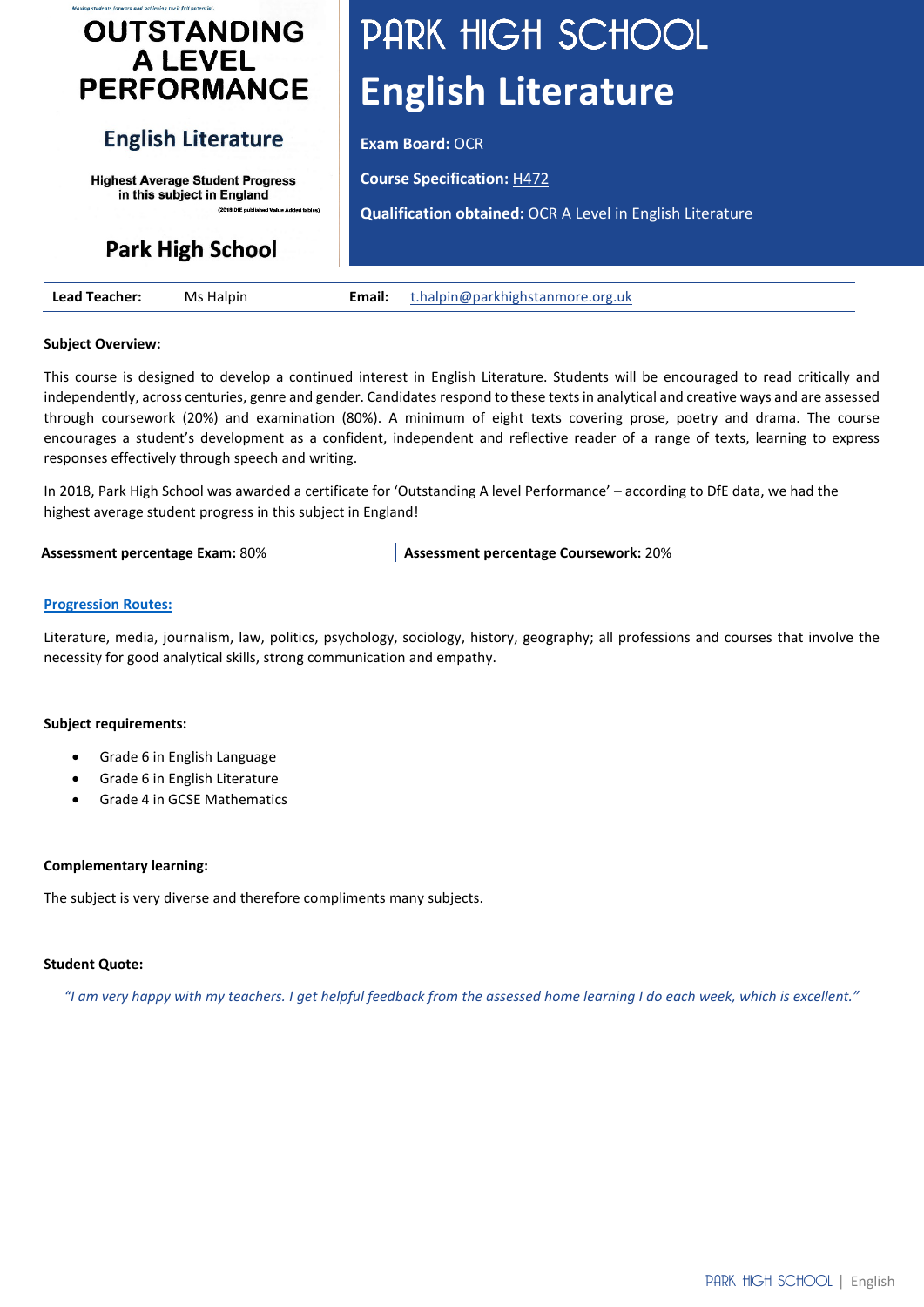# **OUTSTANDING ALEVEL PERFORMANCE**

## **English Literature**

**Highest Average Student Progress** in this subject in England (2018 DfE publis

# **Park High School**

# PARK HIGH SCHOOL **English Literature**

**Exam Board: OCR** 

**Course Specification:** [H472](https://www.ocr.org.uk/Images/171200-specification-accredited-a-level-gce-english-literature-h472.pdf)

**Qualification obtained:** OCR A Level in English Literature

| Lead<br>eacher: | Halpir<br>Ms | Email: | .org.uk<br>mun. |
|-----------------|--------------|--------|-----------------|

#### **Subject Overview:**

This course is designed to develop a continued interest in English Literature. Students will be encouraged to read critically and independently, across centuries, genre and gender. Candidates respond to these texts in analytical and creative ways and are assessed through coursework (20%) and examination (80%). A minimum of eight texts covering prose, poetry and drama. The course encourages a student's development as a confident, independent and reflective reader of a range of texts, learning to express responses effectively through speech and writing.

In 2018, Park High School was awarded a certificate for 'Outstanding A level Performance' – according to DfE data, we had the highest average student progress in this subject in England!

**Assessment percentage Exam:** 80% **Assessment percentage Coursework:** 20%

#### **[Progression Routes:](https://www.parkhighstanmore.org.uk/careersandemploaybility/studentresources)**

Literature, media, journalism, law, politics, psychology, sociology, history, geography; all professions and courses that involve the necessity for good analytical skills, strong communication and empathy.

#### **Subject requirements:**

- Grade 6 in English Language
- Grade 6 in English Literature
- Grade 4 in GCSE Mathematics

#### **Complementary learning:**

The subject is very diverse and therefore compliments many subjects.

#### **Student Quote:**

*"I am very happy with my teachers. I get helpful feedback from the assessed home learning I do each week, which is excellent."*